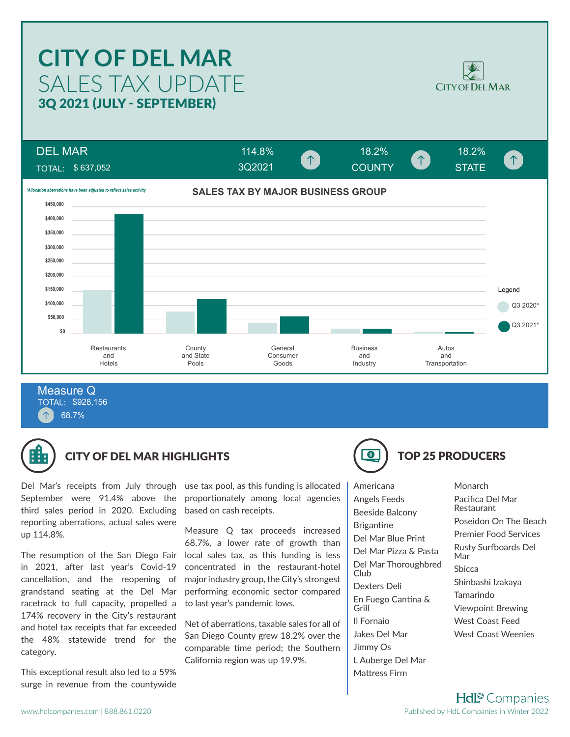# SALES TAX UPDATE **CITY OF DEL MAR** 3Q 2021 (JULY - SEPTEMBER)



DEL MAR  $114.8\%$  18.2% 18.2% 18.2%  $\uparrow$ COUNTY STATE TOTAL: \$ 637,052 3Q2021**SALES TAX BY MAJOR BUSINESS GROUP** *\*Allocation aberrations have been adjusted to reflect sales activity* **\$450,000 \$400,000 \$350,000 \$300,000 \$250,000 \$200,000 \$150,000** Legend **\$100,000** Q3 2020<sup>\*</sup> **\$50,000** Q3 2021\* **\$0 Restaurants County General** Business Autos and State Consumer and and and Hotels Goods **Transportation** Pools **Industry** 

TOTAL: \$928,156 68.7% Measure Q



## CITY OF DEL MAR HIGHLIGHTS (CITY OF DEL MAR HIGHLIGHTS

Del Mar's receipts from July through September were 91.4% above the third sales period in 2020. Excluding reporting aberrations, actual sales were up 114.8%.

The resumption of the San Diego Fair in 2021, after last year's Covid-19 cancellation, and the reopening of grandstand seating at the Del Mar racetrack to full capacity, propelled a 174% recovery in the City's restaurant and hotel tax receipts that far exceeded the 48% statewide trend for the category.

This exceptional result also led to a 59% surge in revenue from the countywide

use tax pool, as this funding is allocated proportionately among local agencies based on cash receipts.

Measure Q tax proceeds increased 68.7%, a lower rate of growth than local sales tax, as this funding is less concentrated in the restaurant-hotel major industry group, the City's strongest performing economic sector compared to last year's pandemic lows.

Net of aberrations, taxable sales for all of San Diego County grew 18.2% over the comparable time period; the Southern California region was up 19.9%.

Americana Angels Feeds Beeside Balcony **Brigantine** Del Mar Blue Print Del Mar Pizza & Pasta Del Mar Thoroughbred Club Dexters Deli En Fuego Cantina & Grill Il Fornaio Jakes Del Mar Jimmy Os L Auberge Del Mar

Mattress Firm

**Monarch** Pacifica Del Mar Restaurant Poseidon On The Beach Premier Food Services Rusty Surfboards Del Mar Sbicca Shinbashi Izakaya Tamarindo Viewpoint Brewing West Coast Feed West Coast Weenies

**Hdl<sup>®</sup>** Companies Published by HdL Companies in Winter 2022